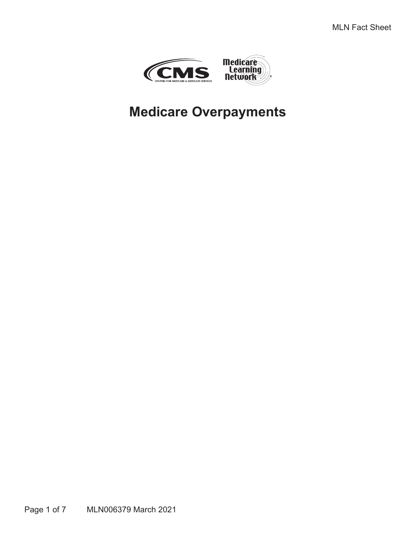

# **Medicare Overpayments**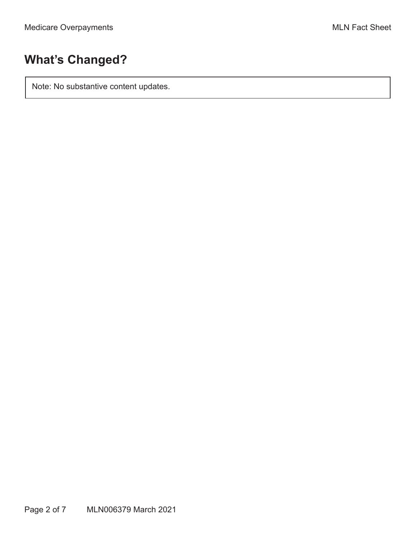# **What's Changed?**

Note: No substantive content updates.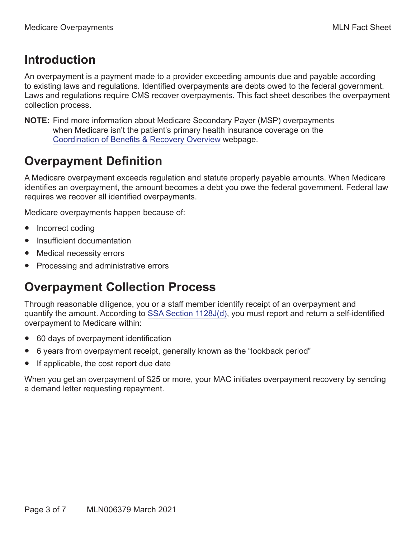## **Introduction**

An overpayment is a payment made to a provider exceeding amounts due and payable according to existing laws and regulations. Identified overpayments are debts owed to the federal government. Laws and regulations require CMS recover overpayments. This fact sheet describes the overpayment collection process.

**NOTE:** Find more information about Medicare Secondary Payer (MSP) overpayments when Medicare isn't the patient's primary health insurance coverage on the [Coordination of Benefits & Recovery Overview](https://www.cms.gov/Medicare/Coordination-of-Benefits-and-Recovery/Coordination-of-Benefits-and-Recovery-Overview/Overview) webpage.

## **Overpayment Definition**

A Medicare overpayment exceeds regulation and statute properly payable amounts. When Medicare identifies an overpayment, the amount becomes a debt you owe the federal government. Federal law requires we recover all identified overpayments.

Medicare overpayments happen because of:

- Incorrect coding
- Insufficient documentation
- Medical necessity errors
- Processing and administrative errors

## **Overpayment Collection Process**

Through reasonable diligence, you or a staff member identify receipt of an overpayment and quantify the amount. According to [SSA Section 1128J\(d\)](https://www.ssa.gov/OP_Home/ssact/title11/1128J.htm#act-1128j-d), you must report and return a self-identified overpayment to Medicare within:

- 60 days of overpayment identification
- 6 years from overpayment receipt, generally known as the "lookback period"
- If applicable, the cost report due date

When you get an overpayment of \$25 or more, your MAC initiates overpayment recovery by sending a demand letter requesting repayment.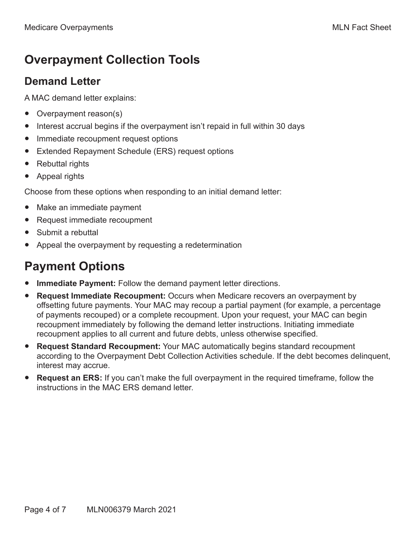# **Overpayment Collection Tools**

#### **Demand Letter**

A MAC demand letter explains:

- Overpayment reason(s)
- Interest accrual begins if the overpayment isn't repaid in full within 30 days
- Immediate recoupment request options
- Extended Repayment Schedule (ERS) request options
- Rebuttal rights
- Appeal rights

Choose from these options when responding to an initial demand letter:

- Make an immediate payment
- Request immediate recoupment
- Submit a rebuttal
- Appeal the overpayment by requesting a redetermination

# **Payment Options**

- **Immediate Payment:** Follow the demand payment letter directions.
- **Request Immediate Recoupment:** Occurs when Medicare recovers an overpayment by offsetting future payments. Your MAC may recoup a partial payment (for example, a percentage of payments recouped) or a complete recoupment. Upon your request, your MAC can begin recoupment immediately by following the demand letter instructions. Initiating immediate recoupment applies to all current and future debts, unless otherwise specified.
- **Request Standard Recoupment:** Your MAC automatically begins standard recoupment according to the Overpayment Debt Collection Activities schedule. If the debt becomes delinquent, interest may accrue.
- **Request an ERS:** If you can't make the full overpayment in the required timeframe, follow the instructions in the MAC ERS demand letter.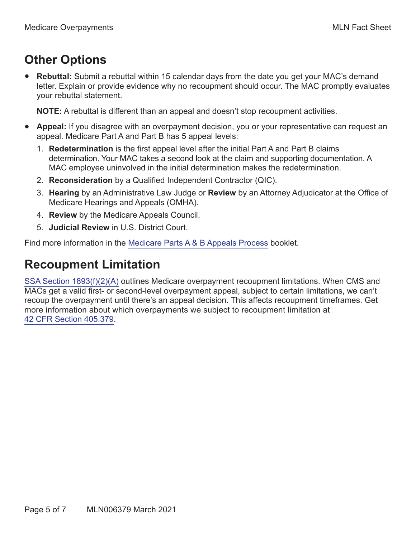# **Other Options**

**Rebuttal:** Submit a rebuttal within 15 calendar days from the date you get your MAC's demand letter. Explain or provide evidence why no recoupment should occur. The MAC promptly evaluates your rebuttal statement.

**NOTE:** A rebuttal is different than an appeal and doesn't stop recoupment activities.

- **Appeal:** If you disagree with an overpayment decision, you or your representative can request an appeal. Medicare Part A and Part B has 5 appeal levels:
	- 1. **Redetermination** is the first appeal level after the initial Part A and Part B claims determination. Your MAC takes a second look at the claim and supporting documentation. A MAC employee uninvolved in the initial determination makes the redetermination.
	- 2. **Reconsideration** by a Qualified Independent Contractor (QIC).
	- 3. **Hearing** by an Administrative Law Judge or **Review** by an Attorney Adjudicator at the Office of Medicare Hearings and Appeals (OMHA).
	- 4. **Review** by the Medicare Appeals Council.
	- 5. **Judicial Review** in U.S. District Court.

Find more information in the [Medicare Parts A & B Appeals Process](https://www.cms.gov/Outreach-and-Education/Medicare-Learning-Network-MLN/MLNProducts/MLN-Publications-Items/CMS1243294) booklet.

## **Recoupment Limitation**

[SSA Section 1893\(f\)\(2\)\(A\)](https://www.ssa.gov/OP_Home/ssact/title18/1893.htm#act-1893-f-2-a) outlines Medicare overpayment recoupment limitations. When CMS and MACs get a valid first- or second-level overpayment appeal, subject to certain limitations, we can't recoup the overpayment until there's an appeal decision. This affects recoupment timeframes. Get more information about which overpayments we subject to recoupment limitation at [42 CFR Section 405.379](https://www.ecfr.gov/cgi-bin/text-idx?SID=6c4fd2451e973269b5f75f64cb729238&mc=true&node=se42.2.405_1379&rgn=div8).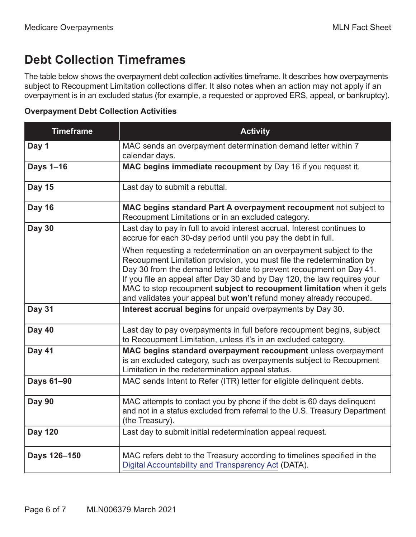# **Debt Collection Timeframes**

The table below shows the overpayment debt collection activities timeframe. It describes how overpayments subject to Recoupment Limitation collections differ. It also notes when an action may not apply if an overpayment is in an excluded status (for example, a requested or approved ERS, appeal, or bankruptcy).

#### **Overpayment Debt Collection Activities**

| <b>Timeframe</b> | <b>Activity</b>                                                                                                                                                                                                                                                                                                                                                                                                                              |
|------------------|----------------------------------------------------------------------------------------------------------------------------------------------------------------------------------------------------------------------------------------------------------------------------------------------------------------------------------------------------------------------------------------------------------------------------------------------|
| Day 1            | MAC sends an overpayment determination demand letter within 7<br>calendar days.                                                                                                                                                                                                                                                                                                                                                              |
| Days 1-16        | MAC begins immediate recoupment by Day 16 if you request it.                                                                                                                                                                                                                                                                                                                                                                                 |
| <b>Day 15</b>    | Last day to submit a rebuttal.                                                                                                                                                                                                                                                                                                                                                                                                               |
| <b>Day 16</b>    | MAC begins standard Part A overpayment recoupment not subject to<br>Recoupment Limitations or in an excluded category.                                                                                                                                                                                                                                                                                                                       |
| <b>Day 30</b>    | Last day to pay in full to avoid interest accrual. Interest continues to<br>accrue for each 30-day period until you pay the debt in full.                                                                                                                                                                                                                                                                                                    |
|                  | When requesting a redetermination on an overpayment subject to the<br>Recoupment Limitation provision, you must file the redetermination by<br>Day 30 from the demand letter date to prevent recoupment on Day 41.<br>If you file an appeal after Day 30 and by Day 120, the law requires your<br>MAC to stop recoupment subject to recoupment limitation when it gets<br>and validates your appeal but won't refund money already recouped. |
| <b>Day 31</b>    | Interest accrual begins for unpaid overpayments by Day 30.                                                                                                                                                                                                                                                                                                                                                                                   |
| Day 40           | Last day to pay overpayments in full before recoupment begins, subject<br>to Recoupment Limitation, unless it's in an excluded category.                                                                                                                                                                                                                                                                                                     |
| <b>Day 41</b>    | MAC begins standard overpayment recoupment unless overpayment<br>is an excluded category, such as overpayments subject to Recoupment<br>Limitation in the redetermination appeal status.                                                                                                                                                                                                                                                     |
| Days 61-90       | MAC sends Intent to Refer (ITR) letter for eligible delinguent debts.                                                                                                                                                                                                                                                                                                                                                                        |
| <b>Day 90</b>    | MAC attempts to contact you by phone if the debt is 60 days delinquent<br>and not in a status excluded from referral to the U.S. Treasury Department<br>(the Treasury).                                                                                                                                                                                                                                                                      |
| <b>Day 120</b>   | Last day to submit initial redetermination appeal request.                                                                                                                                                                                                                                                                                                                                                                                   |
| Days 126-150     | MAC refers debt to the Treasury according to timelines specified in the<br>Digital Accountability and Transparency Act (DATA).                                                                                                                                                                                                                                                                                                               |